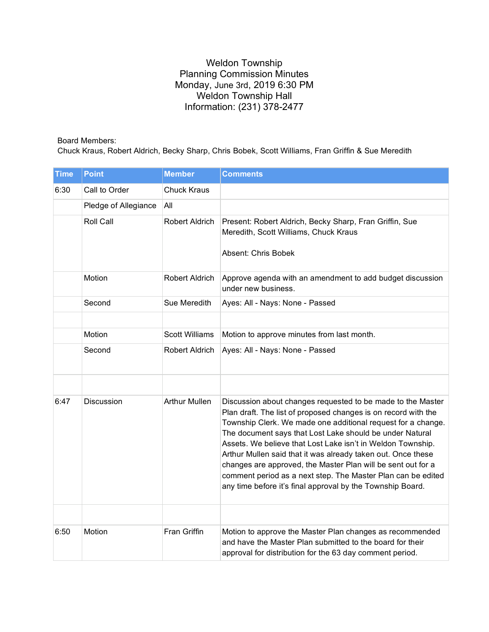## Weldon Township Planning Commission Minutes Monday, June 3rd, 2019 6:30 PM Weldon Township Hall Information: (231) 378-2477

## Board Members:

Chuck Kraus, Robert Aldrich, Becky Sharp, Chris Bobek, Scott Williams, Fran Griffin & Sue Meredith

| <b>Time</b> | <b>Point</b>         | <b>Member</b>         | <b>Comments</b>                                                                                                                                                                                                                                                                                                                                                                                                                                                                                                                                                                        |
|-------------|----------------------|-----------------------|----------------------------------------------------------------------------------------------------------------------------------------------------------------------------------------------------------------------------------------------------------------------------------------------------------------------------------------------------------------------------------------------------------------------------------------------------------------------------------------------------------------------------------------------------------------------------------------|
| 6:30        | Call to Order        | <b>Chuck Kraus</b>    |                                                                                                                                                                                                                                                                                                                                                                                                                                                                                                                                                                                        |
|             | Pledge of Allegiance | All                   |                                                                                                                                                                                                                                                                                                                                                                                                                                                                                                                                                                                        |
|             | Roll Call            | Robert Aldrich        | Present: Robert Aldrich, Becky Sharp, Fran Griffin, Sue<br>Meredith, Scott Williams, Chuck Kraus<br>Absent: Chris Bobek                                                                                                                                                                                                                                                                                                                                                                                                                                                                |
|             | Motion               | Robert Aldrich        | Approve agenda with an amendment to add budget discussion<br>under new business.                                                                                                                                                                                                                                                                                                                                                                                                                                                                                                       |
|             | Second               | Sue Meredith          | Ayes: All - Nays: None - Passed                                                                                                                                                                                                                                                                                                                                                                                                                                                                                                                                                        |
|             |                      |                       |                                                                                                                                                                                                                                                                                                                                                                                                                                                                                                                                                                                        |
|             | Motion               | <b>Scott Williams</b> | Motion to approve minutes from last month.                                                                                                                                                                                                                                                                                                                                                                                                                                                                                                                                             |
|             | Second               | Robert Aldrich        | Ayes: All - Nays: None - Passed                                                                                                                                                                                                                                                                                                                                                                                                                                                                                                                                                        |
|             |                      |                       |                                                                                                                                                                                                                                                                                                                                                                                                                                                                                                                                                                                        |
| 6:47        | <b>Discussion</b>    | <b>Arthur Mullen</b>  | Discussion about changes requested to be made to the Master<br>Plan draft. The list of proposed changes is on record with the<br>Township Clerk. We made one additional request for a change.<br>The document says that Lost Lake should be under Natural<br>Assets. We believe that Lost Lake isn't in Weldon Township.<br>Arthur Mullen said that it was already taken out. Once these<br>changes are approved, the Master Plan will be sent out for a<br>comment period as a next step. The Master Plan can be edited<br>any time before it's final approval by the Township Board. |
|             |                      |                       |                                                                                                                                                                                                                                                                                                                                                                                                                                                                                                                                                                                        |
| 6:50        | Motion               | <b>Fran Griffin</b>   | Motion to approve the Master Plan changes as recommended<br>and have the Master Plan submitted to the board for their<br>approval for distribution for the 63 day comment period.                                                                                                                                                                                                                                                                                                                                                                                                      |